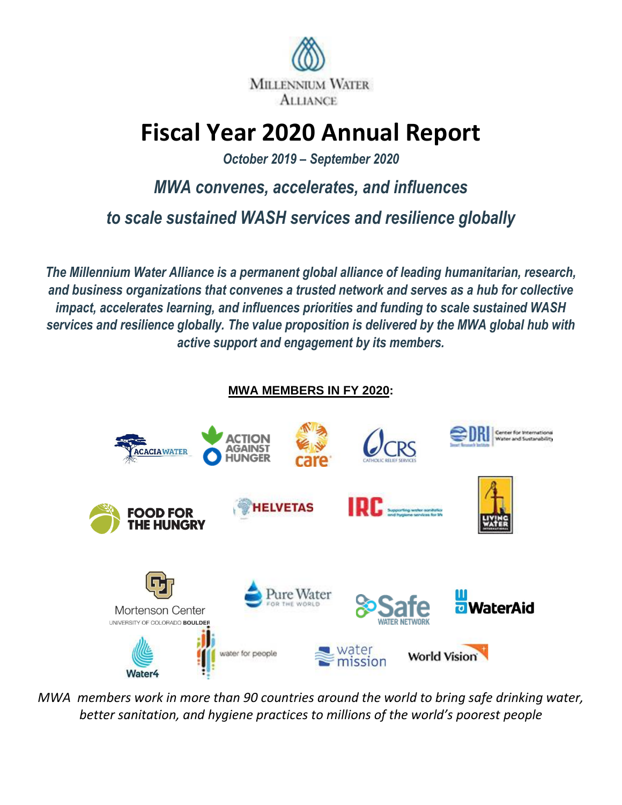

# **Fiscal Year 2020 Annual Report**

*October 2019 – September 2020*

*MWA convenes, accelerates, and influences* 

*to scale sustained WASH services and resilience globally*

*The Millennium Water Alliance is a permanent global alliance of leading humanitarian, research, and business organizations that convenes a trusted network and serves as a hub for collective impact, accelerates learning, and influences priorities and funding to scale sustained WASH services and resilience globally. The value proposition is delivered by the MWA global hub with active support and engagement by its members.*

### **MWA MEMBERS IN FY 2020:**



*MWA members work in more than 90 countries around the world to bring safe drinking water, better sanitation, and hygiene practices to millions of the world's poorest people*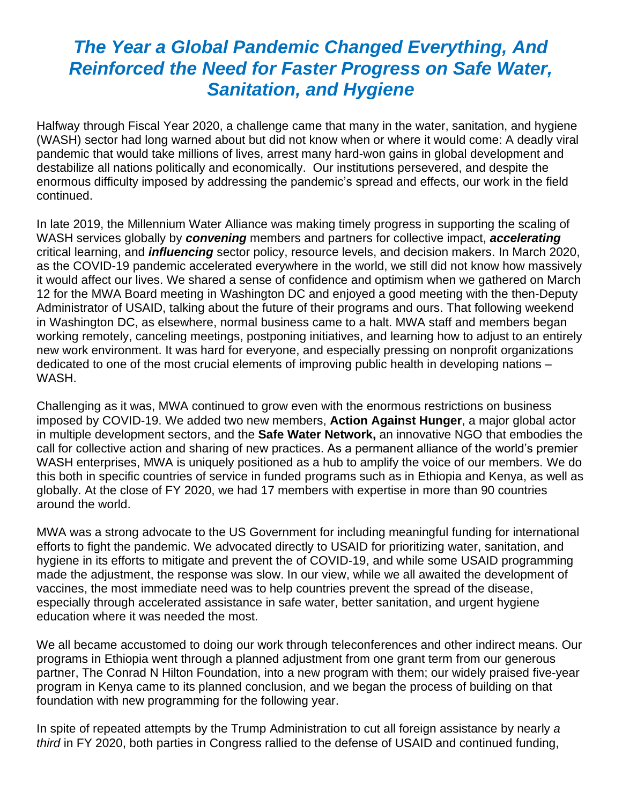# *The Year a Global Pandemic Changed Everything, And Reinforced the Need for Faster Progress on Safe Water, Sanitation, and Hygiene*

Halfway through Fiscal Year 2020, a challenge came that many in the water, sanitation, and hygiene (WASH) sector had long warned about but did not know when or where it would come: A deadly viral pandemic that would take millions of lives, arrest many hard-won gains in global development and destabilize all nations politically and economically. Our institutions persevered, and despite the enormous difficulty imposed by addressing the pandemic's spread and effects, our work in the field continued.

In late 2019, the Millennium Water Alliance was making timely progress in supporting the scaling of WASH services globally by *convening* members and partners for collective impact, *accelerating* critical learning, and *influencing* sector policy, resource levels, and decision makers. In March 2020, as the COVID-19 pandemic accelerated everywhere in the world, we still did not know how massively it would affect our lives. We shared a sense of confidence and optimism when we gathered on March 12 for the MWA Board meeting in Washington DC and enjoyed a good meeting with the then-Deputy Administrator of USAID, talking about the future of their programs and ours. That following weekend in Washington DC, as elsewhere, normal business came to a halt. MWA staff and members began working remotely, canceling meetings, postponing initiatives, and learning how to adjust to an entirely new work environment. It was hard for everyone, and especially pressing on nonprofit organizations dedicated to one of the most crucial elements of improving public health in developing nations – WASH.

Challenging as it was, MWA continued to grow even with the enormous restrictions on business imposed by COVID-19. We added two new members, **Action Against Hunger**, a major global actor in multiple development sectors, and the **Safe Water Network,** an innovative NGO that embodies the call for collective action and sharing of new practices. As a permanent alliance of the world's premier WASH enterprises, MWA is uniquely positioned as a hub to amplify the voice of our members. We do this both in specific countries of service in funded programs such as in Ethiopia and Kenya, as well as globally. At the close of FY 2020, we had 17 members with expertise in more than 90 countries around the world.

MWA was a strong advocate to the US Government for including meaningful funding for international efforts to fight the pandemic. We advocated directly to USAID for prioritizing water, sanitation, and hygiene in its efforts to mitigate and prevent the of COVID-19, and while some USAID programming made the adjustment, the response was slow. In our view, while we all awaited the development of vaccines, the most immediate need was to help countries prevent the spread of the disease, especially through accelerated assistance in safe water, better sanitation, and urgent hygiene education where it was needed the most.

We all became accustomed to doing our work through teleconferences and other indirect means. Our programs in Ethiopia went through a planned adjustment from one grant term from our generous partner, The Conrad N Hilton Foundation, into a new program with them; our widely praised five-year program in Kenya came to its planned conclusion, and we began the process of building on that foundation with new programming for the following year.

In spite of repeated attempts by the Trump Administration to cut all foreign assistance by nearly *a third* in FY 2020, both parties in Congress rallied to the defense of USAID and continued funding,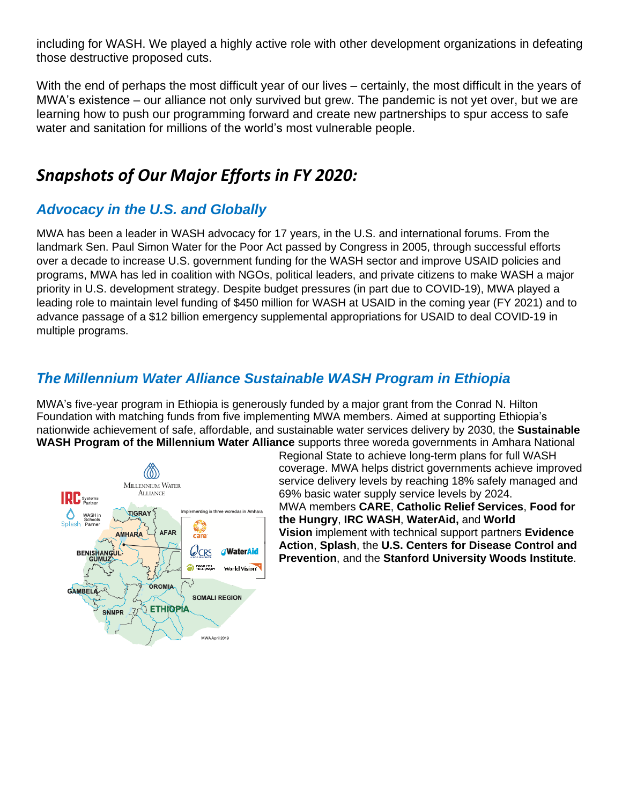including for WASH. We played a highly active role with other development organizations in defeating those destructive proposed cuts.

With the end of perhaps the most difficult year of our lives – certainly, the most difficult in the years of MWA's existence – our alliance not only survived but grew. The pandemic is not yet over, but we are learning how to push our programming forward and create new partnerships to spur access to safe water and sanitation for millions of the world's most vulnerable people.

# *Snapshots of Our Major Efforts in FY 2020:*

## *Advocacy in the U.S. and Globally*

MWA has been a leader in WASH advocacy for 17 years, in the U.S. and international forums. From the landmark Sen. Paul Simon Water for the Poor Act passed by Congress in 2005, through successful efforts over a decade to increase U.S. government funding for the WASH sector and improve USAID policies and programs, MWA has led in coalition with NGOs, political leaders, and private citizens to make WASH a major priority in U.S. development strategy. Despite budget pressures (in part due to COVID-19), MWA played a leading role to maintain level funding of \$450 million for WASH at USAID in the coming year (FY 2021) and to advance passage of a \$12 billion emergency supplemental appropriations for USAID to deal COVID-19 in multiple programs.

# *The Millennium Water Alliance Sustainable WASH Program in Ethiopia*

MWA's five-year program in Ethiopia is generously funded by a major grant from the Conrad N. Hilton Foundation with matching funds from five implementing MWA members. Aimed at supporting Ethiopia's nationwide achievement of safe, affordable, and sustainable water services delivery by 2030, the **Sustainable WASH Program of the Millennium Water Alliance** supports three woreda governments in Amhara National



Regional State to achieve long-term plans for full WASH coverage. MWA helps district governments achieve improved service delivery levels by reaching 18% safely managed and 69% basic water supply service levels by 2024. MWA members **CARE**, **Catholic Relief Services**, **Food for the Hungry**, **IRC WASH**, **WaterAid,** and **World Vision** implement with technical support partners **Evidence Action**, **Splash**, the **U.S. Centers for Disease Control and Prevention**, and the **Stanford University Woods Institute**.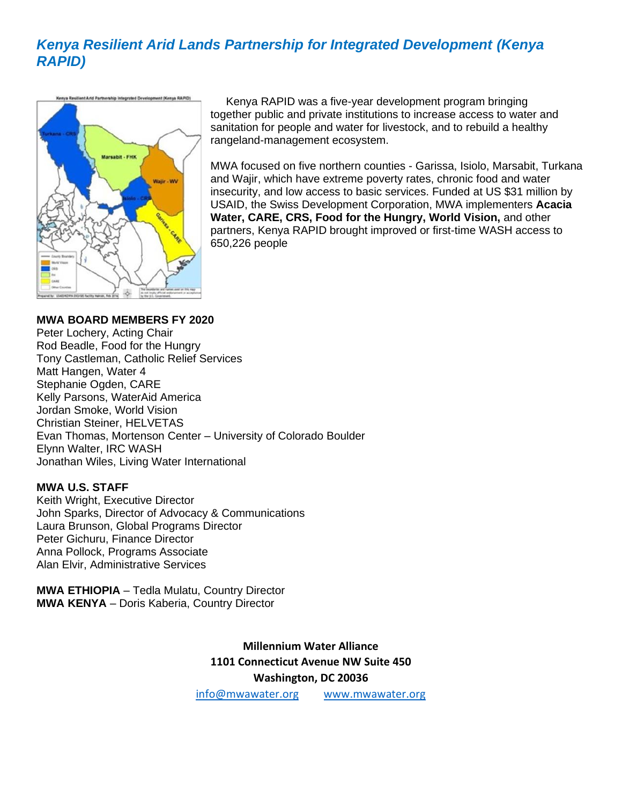# *Kenya Resilient Arid Lands Partnership for Integrated Development (Kenya RAPID)*



 Kenya RAPID was a five-year development program bringing together public and private institutions to increase access to water and sanitation for people and water for livestock, and to rebuild a healthy rangeland-management ecosystem.

MWA focused on five northern counties - Garissa, Isiolo, Marsabit, Turkana and Wajir, which have extreme poverty rates, chronic food and water insecurity, and low access to basic services. Funded at US \$31 million by USAID, the Swiss Development Corporation, MWA implementers **Acacia Water, CARE, CRS, Food for the Hungry, World Vision,** and other partners, Kenya RAPID brought improved or first-time WASH access to 650,226 people

**MWA BOARD MEMBERS FY 2020** Peter Lochery, Acting Chair Rod Beadle, Food for the Hungry Tony Castleman, Catholic Relief Services Matt Hangen, Water 4 Stephanie Ogden, CARE Kelly Parsons, WaterAid America Jordan Smoke, World Vision Christian Steiner, HELVETAS Evan Thomas, Mortenson Center – University of Colorado Boulder Elynn Walter, IRC WASH Jonathan Wiles, Living Water International

#### **MWA U.S. STAFF**

Keith Wright, Executive Director John Sparks, Director of Advocacy & Communications Laura Brunson, Global Programs Director Peter Gichuru, Finance Director Anna Pollock, Programs Associate Alan Elvir, Administrative Services

**MWA ETHIOPIA** – Tedla Mulatu, Country Director **MWA KENYA** – Doris Kaberia, Country Director

> **Millennium Water Alliance 1101 Connecticut Avenue NW Suite 450 Washington, DC 20036**

[info@mwawater.org](mailto:info@mwawater.org) [www.mwawater.org](http://www.mwawater.org/)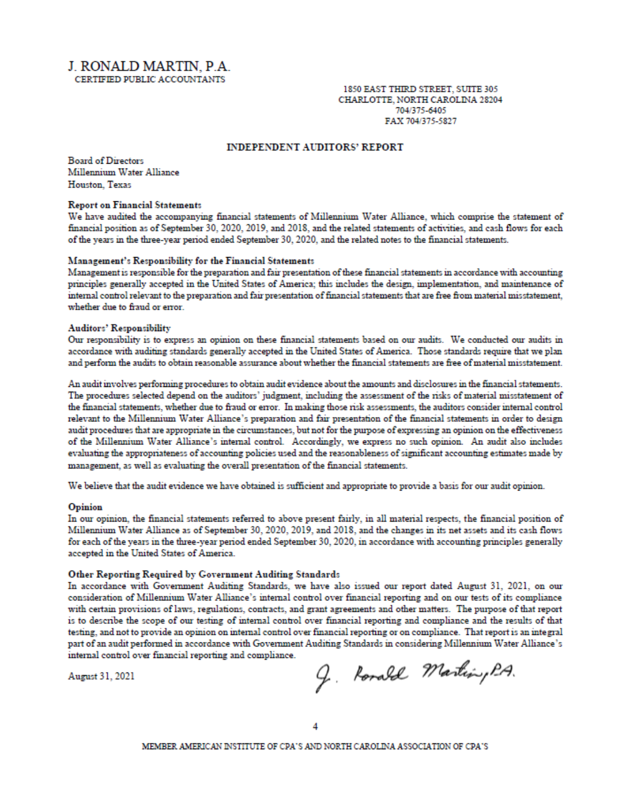# J. RONALD MARTIN. P.A.

CERTIFIED PUBLIC ACCOUNTANTS

1850 EAST THIRD STREET, SUITE 305 CHARLOTTE, NORTH CAROLINA 28204 704/375-6405 FAX 704/375-5827

#### **INDEPENDENT AUDITORS' REPORT**

**Board of Directors** Millennium Water Alliance Houston, Texas

#### **Report on Financial Statements**

We have audited the accompanying financial statements of Millennium Water Alliance, which comprise the statement of financial position as of September 30, 2020, 2019, and 2018, and the related statements of activities, and cash flows for each of the years in the three-year period ended September 30, 2020, and the related notes to the financial statements.

#### Management's Responsibility for the Financial Statements

Management is responsible for the preparation and fair presentation of these financial statements in accordance with accounting principles generally accepted in the United States of America; this includes the design, implementation, and maintenance of internal control relevant to the preparation and fair presentation of financial statements that are free from material misstatement, whether due to fraud or error.

#### **Auditors' Responsibility**

Our responsibility is to express an opinion on these financial statements based on our audits. We conducted our audits in accordance with auditing standards generally accepted in the United States of America. Those standards require that we plan and perform the audits to obtain reasonable assurance about whether the financial statements are free of material misstatement.

An audit involves performing procedures to obtain audit evidence about the amounts and disclosures in the financial statements. The procedures selected depend on the auditors' judgment, including the assessment of the risks of material misstatement of the financial statements, whether due to fraud or error. In making those risk assessments, the auditors consider internal control relevant to the Millennium Water Alliance's preparation and fair presentation of the financial statements in order to design audit procedures that are appropriate in the circumstances, but not for the purpose of expressing an opinion on the effectiveness of the Millennium Water Alliance's internal control. Accordingly, we express no such opinion. An audit also includes evaluating the appropriateness of accounting policies used and the reasonableness of significant accounting estimates made by management, as well as evaluating the overall presentation of the financial statements.

We believe that the audit evidence we have obtained is sufficient and appropriate to provide a basis for our audit opinion.

#### Opinion

In our opinion, the financial statements referred to above present fairly, in all material respects, the financial position of Millennium Water Alliance as of September 30, 2020, 2019, and 2018, and the changes in its net assets and its cash flows for each of the years in the three-year period ended September 30, 2020, in accordance with accounting principles generally accepted in the United States of America.

#### Other Reporting Required by Government Auditing Standards

In accordance with Government Auditing Standards, we have also issued our report dated August 31, 2021, on our consideration of Millennium Water Alliance's internal control over financial reporting and on our tests of its compliance with certain provisions of laws, regulations, contracts, and grant agreements and other matters. The purpose of that report is to describe the scope of our testing of internal control over financial reporting and compliance and the results of that testing, and not to provide an opinion on internal control over financial reporting or on compliance. That report is an integral part of an audit performed in accordance with Government Auditing Standards in considering Millennium Water Alliance's internal control over financial reporting and compliance.

August 31, 2021

g. Ronald Martin, P.A.